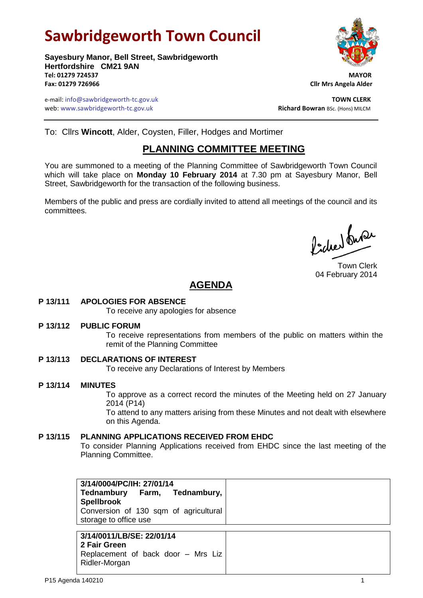# **Sawbridgeworth Town Council**

**Sayesbury Manor, Bell Street, Sawbridgeworth Hertfordshire CM21 9AN Tel: 01279 724537 MAYOR Fax: 01279 726966 Cllr Mrs Angela Alder**

e-mail: info@sawbridgeworth-tc.gov.uk **TOWN CLERK** web: www.sawbridgeworth-tc.gov.uk<br> **Richard Bowran** BSc. (Hons) MILCM

To: Cllrs **Wincott**, Alder, Coysten, Filler, Hodges and Mortimer

## **PLANNING COMMITTEE MEETING**

You are summoned to a meeting of the Planning Committee of Sawbridgeworth Town Council which will take place on **Monday 10 February 2014** at 7.30 pm at Sayesbury Manor, Bell Street, Sawbridgeworth for the transaction of the following business.

Members of the public and press are cordially invited to attend all meetings of the council and its committees.

Picked fune

Town Clerk 04 February 2014

# **AGENDA**

**P 13/111 APOLOGIES FOR ABSENCE**

To receive any apologies for absence

**P 13/112 PUBLIC FORUM**

To receive representations from members of the public on matters within the remit of the Planning Committee

- **P 13/113 DECLARATIONS OF INTEREST** To receive any Declarations of Interest by Members
- **P 13/114 MINUTES** To approve as a correct record the minutes of the Meeting held on 27 January 2014 (P14) To attend to any matters arising from these Minutes and not dealt with elsewhere on this Agenda.
- **P 13/115 PLANNING APPLICATIONS RECEIVED FROM EHDC** To consider Planning Applications received from EHDC since the last meeting of the Planning Committee.

| 3/14/0004/PC/IH: 27/01/14                                      |
|----------------------------------------------------------------|
| Tednambury Farm, Tednambury,<br><b>Spellbrook</b>              |
| Conversion of 130 sqm of agricultural<br>storage to office use |
|                                                                |
| 3/14/0011/LB/SE: 22/01/14                                      |
| 2 Fair Green                                                   |
| Replacement of back door - Mrs Liz                             |

Ridler-Morgan